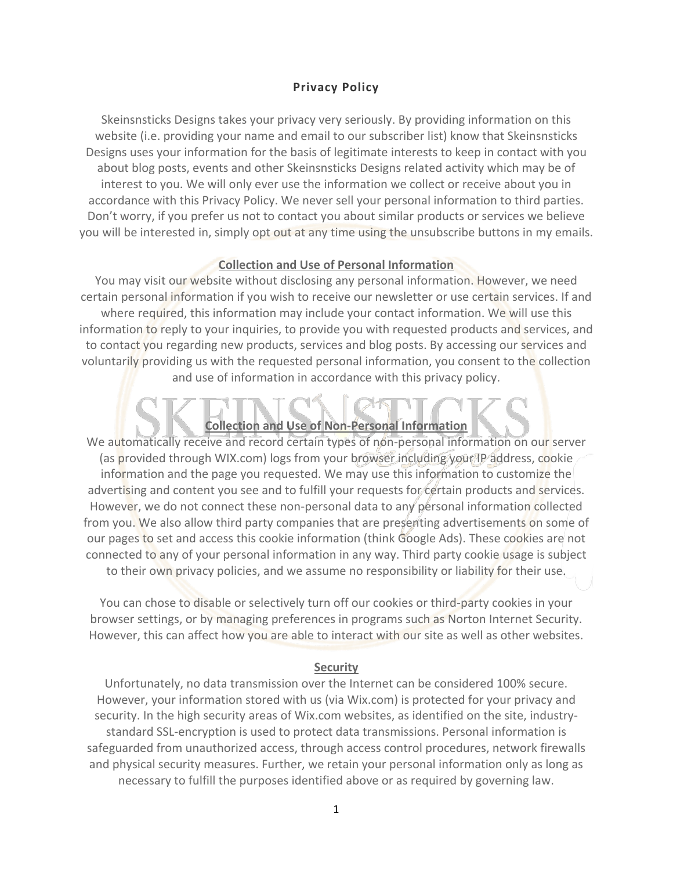### **Privacy Policy**

Skeinsnsticks Designs takes your privacy very seriously. By providing information on this website (i.e. providing your name and email to our subscriber list) know that Skeinsnsticks Designs uses your information for the basis of legitimate interests to keep in contact with you about blog posts, events and other Skeinsnsticks Designs related activity which may be of interest to you. We will only ever use the information we collect or receive about you in accordance with this Privacy Policy. We never sell your personal information to third parties. Don't worry, if you prefer us not to contact you about similar products or services we believe you will be interested in, simply opt out at any time using the unsubscribe buttons in my emails.

### **Collection and Use of Personal Information**

You may visit our website without disclosing any personal information. However, we need certain personal information if you wish to receive our newsletter or use certain services. If and where required, this information may include your contact information. We will use this information to reply to your inquiries, to provide you with requested products and services, and to contact you regarding new products, services and blog posts. By accessing our services and voluntarily providing us with the requested personal information, you consent to the collection and use of information in accordance with this privacy policy.

## **Collection and Use of Non-Personal Information**

We automatically receive and record certain types of non-personal information on our server (as provided through WIX.com) logs from your browser including your IP address, cookie information and the page you requested. We may use this information to customize the advertising and content you see and to fulfill your requests for certain products and services. However, we do not connect these non-personal data to any personal information collected from you. We also allow third party companies that are presenting advertisements on some of our pages to set and access this cookie information (think Google Ads). These cookies are not connected to any of your personal information in any way. Third party cookie usage is subject to their own privacy policies, and we assume no responsibility or liability for their use.

You can chose to disable or selectively turn off our cookies or third-party cookies in your browser settings, or by managing preferences in programs such as Norton Internet Security. However, this can affect how you are able to interact with our site as well as other websites.

### **Security**

Unfortunately, no data transmission over the Internet can be considered 100% secure. However, your information stored with us (via Wix.com) is protected for your privacy and security. In the high security areas of Wix.com websites, as identified on the site, industrystandard SSL-encryption is used to protect data transmissions. Personal information is safeguarded from unauthorized access, through access control procedures, network firewalls and physical security measures. Further, we retain your personal information only as long as necessary to fulfill the purposes identified above or as required by governing law.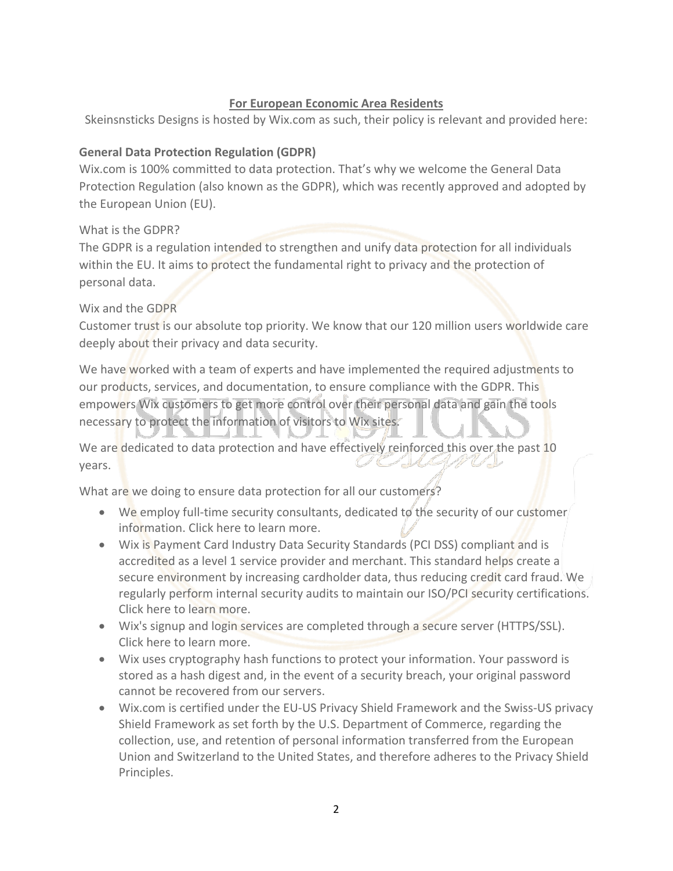# **For European Economic Area Residents**

Skeinsnsticks Designs is hosted by Wix.com as such, their policy is relevant and provided here:

# **General Data Protection Regulation (GDPR)**

Wix.com is 100% committed to data protection. That's why we welcome the General Data Protection Regulation (also known as the GDPR), which was recently approved and adopted by the European Union (EU).

What is the GDPR?

The GDPR is a regulation intended to strengthen and unify data protection for all individuals within the EU. It aims to protect the fundamental right to privacy and the protection of personal data.

# Wix and the GDPR

Customer trust is our absolute top priority. We know that our 120 million users worldwide care deeply about their privacy and data security.

We have worked with a team of experts and have implemented the required adjustments to our products, services, and documentation, to ensure compliance with the GDPR. This empowers Wix customers to get more control over their personal data and gain the tools necessary to protect the information of visitors to Wix sites.

We are dedicated to data protection and have effectively reinforced this over the past 10 years.

What are we doing to ensure data protection for all our customers?

- We employ full-time security consultants, dedicated to the security of our customer information. Click [here](https://support.wix.com/en/article/third-party-security-and-vulnerability-scanning-tools) to learn more.
- Wix is Payment Card Industry Data Security Standards (PCI DSS) compliant and is accredited as a level 1 service provider and merchant. This standard helps create a secure environment by increasing cardholder data, thus reducing credit card fraud. We regularly perform internal security audits to maintain our ISO/PCI security certifications. Click [here](https://support.wix.com/en/article/security-of-wixs-billing-services-and-pci-compliance) to learn more.
- Wix's signup and login services are completed through a secure server (HTTPS/SSL). Click [here](https://support.wix.com/en/article/security-of-wixs-sign-up-services-and-user-information) to learn more.
- Wix uses cryptography hash functions to protect your information. Your password is stored as a hash digest and, in the event of a security breach, your original password cannot be recovered from our servers.
- Wix.com is certified under the EU-US Privacy Shield Framework and the Swiss-US privacy Shield Framework as set forth by the U.S. Department of Commerce, regarding the collection, use, and retention of personal information transferred from the European Union and Switzerland to the United States, and therefore adheres to the Privacy Shield Principles.